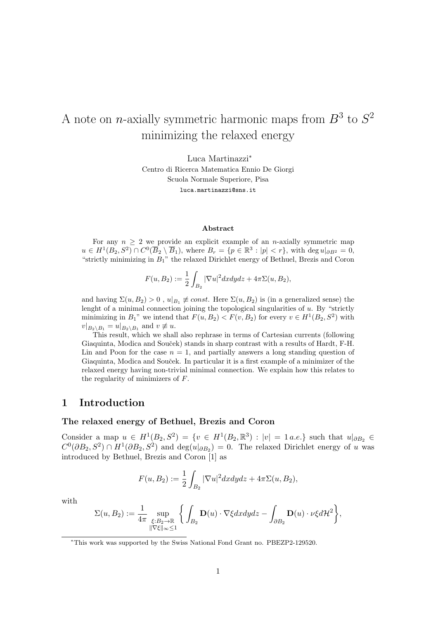# A note on *n*-axially symmetric harmonic maps from  $B^3$  to  $S^2$ minimizing the relaxed energy

Luca Martinazzi<sup>∗</sup> Centro di Ricerca Matematica Ennio De Giorgi Scuola Normale Superiore, Pisa luca.martinazzi@sns.it

#### Abstract

For any  $n \geq 2$  we provide an explicit example of an *n*-axially symmetric map  $u \in H^1(B_2, S^2) \cap C^0(\overline{B}_2 \setminus \overline{B}_1)$ , where  $B_r = \{p \in \mathbb{R}^3 : |p| < r\}$ , with  $\deg u|_{\partial B^2} = 0$ , "strictly minimizing in  $B_1$ " the relaxed Dirichlet energy of Bethuel, Brezis and Coron

$$
F(u, B_2) := \frac{1}{2} \int_{B_2} |\nabla u|^2 dx dy dz + 4\pi \Sigma(u, B_2),
$$

and having  $\Sigma(u, B_2) > 0$ ,  $u|_{B_1} \neq const.$  Here  $\Sigma(u, B_2)$  is (in a generalized sense) the lenght of a minimal connection joining the topological singularities of  $u$ . By "strictly minimizing in  $B_1$ " we intend that  $F(u, B_2) < F(v, B_2)$  for every  $v \in H^1(B_2, S^2)$  with  $v|_{B_2 \setminus B_1} = u|_{B_2 \setminus B_1}$  and  $v \neq u$ .

This result, which we shall also rephrase in terms of Cartesian currents (following Giaquinta, Modica and Souček) stands in sharp contrast with a results of Hardt, F-H. Lin and Poon for the case  $n = 1$ , and partially answers a long standing question of Giaquinta, Modica and Souček. In particular it is a first example of a minimizer of the relaxed energy having non-trivial minimal connection. We explain how this relates to the regularity of minimizers of F.

## 1 Introduction

## The relaxed energy of Bethuel, Brezis and Coron

Consider a map  $u \in H^1(B_2, S^2) = \{v \in H^1(B_2, \mathbb{R}^3) : |v| = 1 \text{ a.e.}\}\$  such that  $u|_{\partial B_2} \in$  $C^0(\partial B_2, S^2) \cap H^1(\partial B_2, S^2)$  and  $\deg(u|_{\partial B_2}) = 0$ . The relaxed Dirichlet energy of u was introduced by Bethuel, Brezis and Coron [1] as

$$
F(u, B_2) := \frac{1}{2} \int_{B_2} |\nabla u|^2 dx dy dz + 4\pi \Sigma(u, B_2),
$$

with

$$
\Sigma(u,B_2):=\frac{1}{4\pi}\sup_{\substack{\xi:B_2\to\mathbb R\\\|\nabla\xi\|_\infty\leq 1}}\bigg\{\int_{B_2}\mathbf{D}(u)\cdot\nabla\xi dxdydz-\int_{\partial B_2}\mathbf{D}(u)\cdot\nu\xi d\mathcal{H}^2\bigg\},
$$

<sup>∗</sup>This work was supported by the Swiss National Fond Grant no. PBEZP2-129520.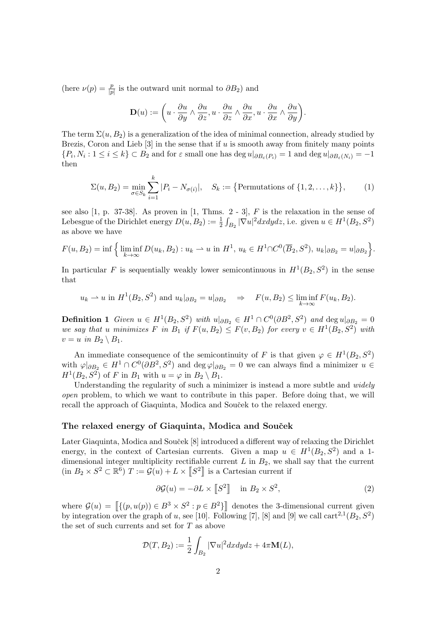(here  $\nu(p) = \frac{p}{|p|}$  is the outward unit normal to  $\partial B_2$ ) and

$$
\mathbf{D}(u) := \left(u\cdot \frac{\partial u}{\partial y}\wedge \frac{\partial u}{\partial z}, u\cdot \frac{\partial u}{\partial z}\wedge \frac{\partial u}{\partial x}, u\cdot \frac{\partial u}{\partial x}\wedge \frac{\partial u}{\partial y}\right).
$$

The term  $\Sigma(u, B_2)$  is a generalization of the idea of minimal connection, already studied by Brezis, Coron and Lieb  $[3]$  in the sense that if u is smooth away from finitely many points  $\{P_i, N_i : 1 \le i \le k\} \subset B_2$  and for  $\varepsilon$  small one has  $\deg u|_{\partial B_{\varepsilon}(P_i)} = 1$  and  $\deg u|_{\partial B_{\varepsilon}(N_i)} = -1$ then

$$
\Sigma(u, B_2) = \min_{\sigma \in S_k} \sum_{i=1}^k |P_i - N_{\sigma(i)}|, \quad S_k := \{ \text{Permutations of } \{1, 2, \dots, k\} \}, \tag{1}
$$

see also  $[1, p. 37-38]$ . As proven in  $[1, Thms. 2-3]$ , F is the relaxation in the sense of Lebesgue of the Dirichlet energy  $D(u, B_2) := \frac{1}{2} \int_{B_2} |\nabla u|^2 dx dy dz$ , i.e. given  $u \in H^1(B_2, S^2)$ as above we have

$$
F(u, B_2) = \inf \Big\{ \liminf_{k \to \infty} D(u_k, B_2) : u_k \to u \text{ in } H^1, u_k \in H^1 \cap C^0(\overline{B}_2, S^2), u_k|_{\partial B_2} = u|_{\partial B_2} \Big\}.
$$

In particular F is sequentially weakly lower semicontinuous in  $H^1(B_2, S^2)$  in the sense that

$$
u_k \rightharpoonup u
$$
 in  $H^1(B_2, S^2)$  and  $u_k|_{\partial B_2} = u|_{\partial B_2} \Rightarrow F(u, B_2) \le \liminf_{k \to \infty} F(u_k, B_2).$ 

**Definition 1** Given  $u \in H^1(B_2, S^2)$  with  $u|_{\partial B_2} \in H^1 \cap C^0(\partial B^2, S^2)$  and  $\deg u|_{\partial B_2} = 0$ we say that u minimizes F in B<sub>1</sub> if  $F(u, B_2) \leq F(v, B_2)$  for every  $v \in H^1(B_2, S^2)$  with  $v = u$  in  $B_2 \setminus B_1$ .

An immediate consequence of the semicontinuity of F is that given  $\varphi \in H^1(B_2, S^2)$ with  $\varphi|_{\partial B_2} \in H^1 \cap C^0(\partial B^2, S^2)$  and  $\deg \varphi|_{\partial B_2} = 0$  we can always find a minimizer  $u \in$  $H<sup>1</sup>(B<sub>2</sub>, S<sup>2</sup>)$  of F in  $B<sub>1</sub>$  with  $u = \varphi$  in  $B<sub>2</sub> \setminus B<sub>1</sub>$ .

Understanding the regularity of such a minimizer is instead a more subtle and *widely* open problem, to which we want to contribute in this paper. Before doing that, we will recall the approach of Giaquinta, Modica and Souček to the relaxed energy.

#### The relaxed energy of Giaquinta, Modica and Souček

Later Giaquinta, Modica and Souček [8] introduced a different way of relaxing the Dirichlet energy, in the context of Cartesian currents. Given a map  $u \in H^1(B_2, S^2)$  and a 1dimensional integer multiplicity rectifiable current  $L$  in  $B_2$ , we shall say that the current  $(\text{in } B_2 \times S^2 \subset \mathbb{R}^6)$   $T := \mathcal{G}(u) + L \times \llbracket S^2 \rrbracket$  is a Cartesian current if

$$
\partial \mathcal{G}(u) = -\partial L \times [S^2] \quad \text{in } B_2 \times S^2,
$$
 (2)

where  $\mathcal{G}(u) = \left[ \{ (p, u(p)) \in B^3 \times S^2 : p \in B^2 \} \right]$  denotes the 3-dimensional current given by integration over the graph of u, see [10]. Following [7], [8] and [9] we call cart<sup>2,1</sup>( $B_2, S^2$ ) the set of such currents and set for T as above

$$
\mathcal{D}(T, B_2) := \frac{1}{2} \int_{B_2} |\nabla u|^2 dx dy dz + 4\pi \mathbf{M}(L),
$$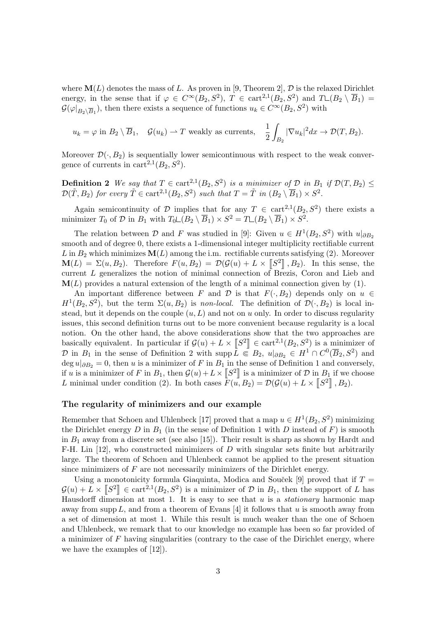where  $\mathbf{M}(L)$  denotes the mass of L. As proven in [9, Theorem 2], D is the relaxed Dirichlet energy, in the sense that if  $\varphi \in C^{\infty}(B_2, S^2)$ ,  $T \in \text{cart}^{2,1}(B_2, S^2)$  and  $T \sqcup (B_2 \setminus \overline{B}_1) =$  $\mathcal{G}(\varphi|_{B_2 \setminus \overline{B}_1})$ , then there exists a sequence of functions  $u_k \in C^{\infty}(B_2, S^2)$  with

$$
u_k = \varphi
$$
 in  $B_2 \setminus \overline{B}_1$ ,  $\mathcal{G}(u_k) \rightharpoonup T$  weakly as currents,  $\frac{1}{2} \int_{B_2} |\nabla u_k|^2 dx \rightharpoonup \mathcal{D}(T, B_2)$ .

Moreover  $\mathcal{D}(\cdot, B_2)$  is sequentially lower semicontinuous with respect to the weak convergence of currents in  $\text{cart}^{2,1}(B_2, S^2)$ .

**Definition 2** We say that  $T \in \text{cart}^{2,1}(B_2, S^2)$  is a minimizer of  $D$  in  $B_1$  if  $\mathcal{D}(T, B_2) \leq$  $\mathcal{D}(\tilde{T}, B_2)$  for every  $\tilde{T} \in \text{cart}^{2,1}(B_2, S^2)$  such that  $T = \tilde{T}$  in  $(B_2 \setminus \overline{B}_1) \times S^2$ .

Again semicontinuity of D implies that for any  $T \in \text{cart}^{2,1}(B_2, S^2)$  there exists a minimizer  $T_0$  of  $D$  in  $B_1$  with  $T_0 \sqcup (B_2 \setminus \overline{B}_1) \times S^2 = T \sqcup (B_2 \setminus \overline{B}_1) \times S^2$ .

The relation between  $\mathcal D$  and  $F$  was studied in [9]: Given  $u \in H^1(B_2, S^2)$  with  $u|_{\partial B_2}$ smooth and of degree 0, there exists a 1-dimensional integer multiplicity rectifiable current L in  $B_2$  which minimizes  $\mathbf{M}(L)$  among the i.m. rectifiable currents satisfying (2). Moreover  $\mathbf{M}(L) = \Sigma(u, B_2)$ . Therefore  $F(u, B_2) = \mathcal{D}(\mathcal{G}(u) + L \times [S^2], B_2)$ . In this sense, the current L generalizes the notion of minimal connection of Brezis, Coron and Lieb and  $M(L)$  provides a natural extension of the length of a minimal connection given by  $(1)$ .

An important difference between F and D is that  $F(\cdot, B_2)$  depends only on  $u \in$  $H^1(B_2, S^2)$ , but the term  $\Sigma(u, B_2)$  is non-local. The definition of  $\mathcal{D}(\cdot, B_2)$  is local instead, but it depends on the couple  $(u, L)$  and not on u only. In order to discuss regularity issues, this second definition turns out to be more convenient because regularity is a local notion. On the other hand, the above considerations show that the two approaches are basically equivalent. In particular if  $\mathcal{G}(u) + L \times \llbracket S^2 \rrbracket \in \text{cart}^{2,1}(B_2, S^2)$  is a minimizer of D in  $B_1$  in the sense of Definition 2 with supp  $\overline{L} \subseteq B_2$ ,  $u|_{\partial B_2} \in H^1 \cap C^0(\overline{B}_2, S^2)$  and deg  $u|_{\partial B_2} = 0$ , then u is a minimizer of F in  $B_1$  in the sense of Definition 1 and conversely, if u is a minimizer of F in  $B_1$ , then  $\mathcal{G}(u) + L \times \llbracket S^2 \rrbracket$  is a minimizer of D in  $B_1$  if we choose L minimal under condition (2). In both cases  $F(u, B_2) = \mathcal{D}(\mathcal{G}(u) + L \times \llbracket S^2 \rrbracket, B_2)$ .

## The regularity of minimizers and our example

Remember that Schoen and Uhlenbeck [17] proved that a map  $u \in H^1(B_2, S^2)$  minimizing the Dirichlet energy  $D$  in  $B_1$  (in the sense of Definition 1 with  $D$  instead of  $F$ ) is smooth in  $B_1$  away from a discrete set (see also [15]). Their result is sharp as shown by Hardt and F-H. Lin  $[12]$ , who constructed minimizers of D with singular sets finite but arbitrarily large. The theorem of Schoen and Uhlenbeck cannot be applied to the present situation since minimizers of  $F$  are not necessarily minimizers of the Dirichlet energy.

Using a monotonicity formula Giaquinta, Modica and Souček [9] proved that if  $T =$  $\mathcal{G}(u) + L \times \llbracket S^2 \rrbracket \in \text{cart}^{2,1}(B_2, S^2)$  is a minimizer of  $\mathcal D$  in  $B_1$ , then the support of L has Hausdorff dimension at most 1. It is easy to see that  $u$  is a *stationary* harmonic map away from supp  $L$ , and from a theorem of Evans [4] it follows that u is smooth away from a set of dimension at most 1. While this result is much weaker than the one of Schoen and Uhlenbeck, we remark that to our knowledge no example has been so far provided of a minimizer of  $F$  having singularities (contrary to the case of the Dirichlet energy, where we have the examples of [12]).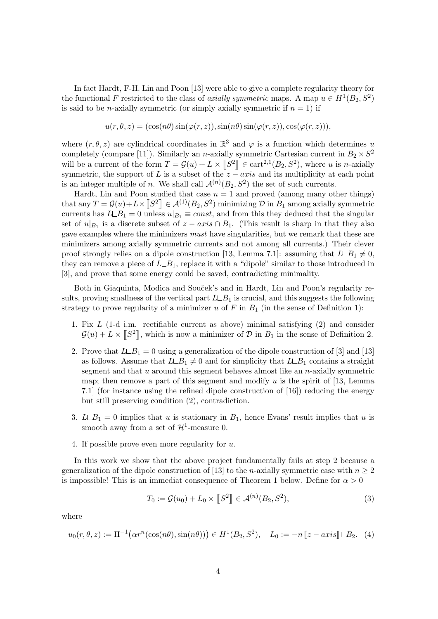In fact Hardt, F-H. Lin and Poon [13] were able to give a complete regularity theory for the functional F restricted to the class of axially symmetric maps. A map  $u \in H^1(B_2, S^2)$ is said to be *n*-axially symmetric (or simply axially symmetric if  $n = 1$ ) if

$$
u(r, \theta, z) = (\cos(n\theta)\sin(\varphi(r, z)), \sin(n\theta)\sin(\varphi(r, z)), \cos(\varphi(r, z))),
$$

where  $(r, \theta, z)$  are cylindrical coordinates in  $\mathbb{R}^3$  and  $\varphi$  is a function which determines u completely (compare [11]). Similarly an *n*-axially symmetric Cartesian current in  $B_2 \times S^2$ will be a current of the form  $T = \mathcal{G}(u) + L \times [S^2] \in \text{cart}^{2,1}(B_2, S^2)$ , where u is n-axially symmetric, the support of L is a subset of the  $z - axis$  and its multiplicity at each point is an integer multiple of *n*. We shall call  $\mathcal{A}^{(n)}(B_2, S^2)$  the set of such currents.

Hardt, Lin and Poon studied that case  $n = 1$  and proved (among many other things) that any  $T = \mathcal{G}(u) + L \times \llbracket S^2 \rrbracket \in \mathcal{A}^{(1)}(B_2,S^2)$  minimizing  $\mathcal D$  in  $B_1$  among axially symmetric currents has  $L \perp B_1 = 0$  unless  $u|_{B_1} \equiv const$ , and from this they deduced that the singular set of  $u|_{B_1}$  is a discrete subset of  $z - axis \cap B_1$ . (This result is sharp in that they also gave examples where the minimizers must have singularities, but we remark that these are minimizers among axially symmetric currents and not among all currents.) Their clever proof strongly relies on a dipole construction [13, Lemma 7.1]: assuming that  $L \perp B_1 \neq 0$ , they can remove a piece of  $L\_{B_1}$ , replace it with a "dipole" similar to those introduced in [3], and prove that some energy could be saved, contradicting minimality.

Both in Giaquinta, Modica and Souček's and in Hardt, Lin and Poon's regularity results, proving smallness of the vertical part  $L \perp B_1$  is crucial, and this suggests the following strategy to prove regularity of a minimizer u of F in  $B_1$  (in the sense of Definition 1):

- 1. Fix L (1-d i.m. rectifiable current as above) minimal satisfying (2) and consider  $\mathcal{G}(u) + L \times \llbracket S^2 \rrbracket$ , which is now a minimizer of  $\mathcal{D}$  in  $B_1$  in the sense of Definition 2.
- 2. Prove that  $L \_B_1 = 0$  using a generalization of the dipole construction of [3] and [13] as follows. Assume that  $L \perp B_1 \neq 0$  and for simplicity that  $L \perp B_1$  contains a straight segment and that  $u$  around this segment behaves almost like an  $n$ -axially symmetric map; then remove a part of this segment and modify u is the spirit of [13, Lemma 7.1] (for instance using the refined dipole construction of [16]) reducing the energy but still preserving condition (2), contradiction.
- 3.  $L \_B_1 = 0$  implies that u is stationary in  $B_1$ , hence Evans' result implies that u is smooth away from a set of  $\mathcal{H}^1$ -measure 0.
- 4. If possible prove even more regularity for u.

In this work we show that the above project fundamentally fails at step 2 because a generalization of the dipole construction of [13] to the *n*-axially symmetric case with  $n \geq 2$ is impossible! This is an immediat consequence of Theorem 1 below. Define for  $\alpha > 0$ 

$$
T_0 := \mathcal{G}(u_0) + L_0 \times [S^2] \in \mathcal{A}^{(n)}(B_2, S^2),
$$
\n(3)

where

$$
u_0(r, \theta, z) := \Pi^{-1}(\alpha r^n(\cos(n\theta), \sin(n\theta))) \in H^1(B_2, S^2), \quad L_0 := -n [z - axis] \sqcup B_2. \tag{4}
$$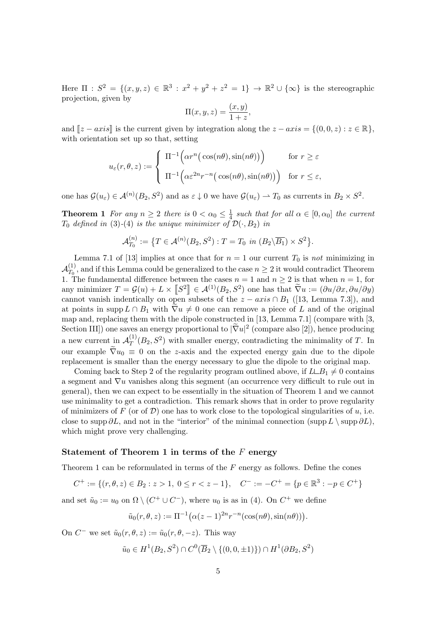Here  $\Pi : S^2 = \{(x, y, z) \in \mathbb{R}^3 : x^2 + y^2 + z^2 = 1\} \to \mathbb{R}^2 \cup {\infty}$  is the stereographic projection, given by

$$
\Pi(x, y, z) = \frac{(x, y)}{1 + z},
$$

and  $[z - axis]$  is the current given by integration along the  $z - axis = \{(0, 0, z) : z \in \mathbb{R}\},\$ with orientation set up so that, setting

$$
u_{\varepsilon}(r,\theta,z) := \begin{cases} \Pi^{-1}\Big(\alpha r^{n}\big(\cos(n\theta),\sin(n\theta)\big)\Big) & \text{for } r \geq \varepsilon \\ \Pi^{-1}\Big(\alpha \varepsilon^{2n} r^{-n}\big(\cos(n\theta),\sin(n\theta)\big)\Big) & \text{for } r \leq \varepsilon, \end{cases}
$$

one has  $\mathcal{G}(u_{\varepsilon}) \in \mathcal{A}^{(n)}(B_2, S^2)$  and as  $\varepsilon \downarrow 0$  we have  $\mathcal{G}(u_{\varepsilon}) \to T_0$  as currents in  $B_2 \times S^2$ .

**Theorem 1** For any  $n \geq 2$  there is  $0 < \alpha_0 \leq \frac{1}{4}$  $\frac{1}{4}$  such that for all  $\alpha \in [0, \alpha_0]$  the current  $T_0$  defined in (3)-(4) is the unique minimizer of  $\mathcal{D}(\cdot, B_2)$  in

$$
\mathcal{A}_{T_0}^{(n)} := \{ T \in \mathcal{A}^{(n)}(B_2, S^2) : T = T_0 \text{ in } (B_2 \backslash \overline{B_1}) \times S^2 \}.
$$

Lemma 7.1 of [13] implies at once that for  $n = 1$  our current  $T_0$  is not minimizing in  $\mathcal{A}_{T_\alpha}^{(1)}$  $T_0^{(1)}$ , and if this Lemma could be generalized to the case  $n \geq 2$  it would contradict Theorem 1. The fundamental difference between the cases  $n = 1$  and  $n \geq 2$  is that when  $n = 1$ , for any minimizer  $T = \mathcal{G}(u) + L \times \llbracket S^2 \rrbracket \in \mathcal{A}^{(1)}(B_2, S^2)$  one has that  $\tilde{\nabla}u := (\partial u/\partial x, \partial u/\partial y)$ cannot vanish indentically on open subsets of the  $z - axis \cap B_1$  ([13, Lemma 7.3]), and at points in supp  $L \cap B_1$  with  $\nabla u \neq 0$  one can remove a piece of L and of the original map and, replacing them with the dipole constructed in [13, Lemma 7.1] (compare with [3, Section III]) one saves an energy proportional to  $|\tilde{\nabla}u|^2$  (compare also [2]), hence producing a new current in  $\mathcal{A}_T^{(1)}$  $T^{(1)}(B_2, S^2)$  with smaller energy, contradicting the minimality of T. In our example  $\tilde{\nabla}u_0\equiv 0$  on the z-axis and the expected energy gain due to the dipole replacement is smaller than the energy necessary to glue the dipole to the original map.

Coming back to Step 2 of the regularity program outlined above, if  $L \_B_1 \neq 0$  contains a segment and  $\nabla u$  vanishes along this segment (an occurrence very difficult to rule out in general), then we can expect to be essentially in the situation of Theorem 1 and we cannot use minimality to get a contradiction. This remark shows that in order to prove regularity of minimizers of F (or of D) one has to work close to the topological singularities of u, i.e. close to supp  $\partial L$ , and not in the "interior" of the minimal connection (supp  $L \setminus \text{supp }\partial L$ ), which might prove very challenging.

#### Statement of Theorem 1 in terms of the F energy

Theorem 1 can be reformulated in terms of the  $F$  energy as follows. Define the cones

$$
C^+ := \{ (r, \theta, z) \in B_2 : z > 1, 0 \le r < z - 1 \}, \quad C^- := -C^+ = \{ p \in \mathbb{R}^3 : -p \in C^+ \}
$$

and set  $\tilde{u}_0 := u_0$  on  $\Omega \setminus (C^+ \cup C^-)$ , where  $u_0$  is as in (4). On  $C^+$  we define

$$
\tilde{u}_0(r,\theta,z) := \Pi^{-1}(\alpha(z-1)^{2n}r^{-n}(\cos(n\theta),\sin(n\theta))).
$$

On  $C^-$  we set  $\tilde{u}_0(r, \theta, z) := \tilde{u}_0(r, \theta, -z)$ . This way

$$
\tilde{u}_0 \in H^1(B_2, S^2) \cap C^0(\overline{B}_2 \setminus \{(0, 0, \pm 1)\}) \cap H^1(\partial B_2, S^2)
$$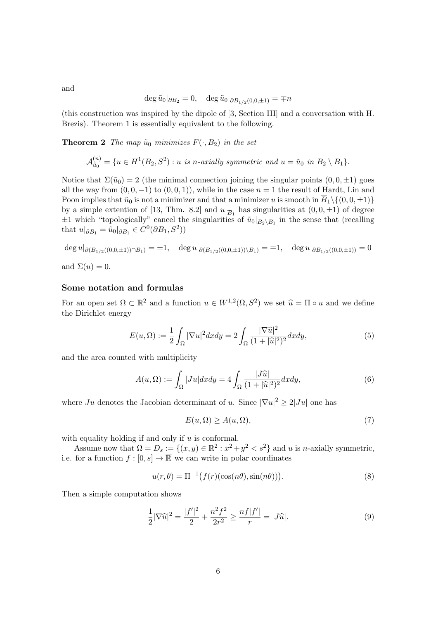$$
\deg \tilde{u}_0|_{\partial B_2} = 0, \quad \deg \tilde{u}_0|_{\partial B_{1/2}(0,0,\pm 1)} = \mp n
$$

(this construction was inspired by the dipole of [3, Section III] and a conversation with H. Brezis). Theorem 1 is essentially equivalent to the following.

**Theorem 2** The map  $\tilde{u}_0$  minimizes  $F(\cdot, B_2)$  in the set

$$
\mathcal{A}_{\tilde{u}_0}^{(n)} = \{u \in H^1(B_2, S^2) : u \text{ is } n\text{-axially symmetric and } u = \tilde{u}_0 \text{ in } B_2 \setminus B_1\}.
$$

Notice that  $\Sigma(\tilde{u}_0) = 2$  (the minimal connection joining the singular points  $(0, 0, \pm 1)$  goes all the way from  $(0, 0, -1)$  to  $(0, 0, 1)$ , while in the case  $n = 1$  the result of Hardt, Lin and Poon implies that  $\tilde{u}_0$  is not a minimizer and that a minimizer u is smooth in  $\overline{B}_1\setminus\{(0,0,\pm 1)\}\$ by a simple extention of [13, Thm. 8.2] and  $u|_{\overline{B}_1}$  has singularities at  $(0,0,\pm 1)$  of degree  $\pm 1$  which "topologically" cancel the singularities of  $\tilde{u}_0|_{B_2\setminus B_1}$  in the sense that (recalling that  $u|_{\partial B_1} = \tilde{u}_0|_{\partial B_1} \in C^0(\partial B_1, S^2)$ 

$$
\deg u|_{\partial (B_{1/2}((0,0,\pm 1)) \cap B_1)} = \pm 1, \quad \deg u|_{\partial (B_{1/2}((0,0,\pm 1)) \setminus B_1)} = \mp 1, \quad \deg u|_{\partial B_{1/2}((0,0,\pm 1))} = 0
$$
  
and  $\Sigma(u) = 0$ .

## Some notation and formulas

For an open set  $\Omega \subset \mathbb{R}^2$  and a function  $u \in W^{1,2}(\Omega, S^2)$  we set  $\widehat{u} = \Pi \circ u$  and we define the Divisible opensy. the Dirichlet energy

$$
E(u,\Omega) := \frac{1}{2} \int_{\Omega} |\nabla u|^2 dx dy = 2 \int_{\Omega} \frac{|\nabla \widehat{u}|^2}{(1 + |\widehat{u}|^2)^2} dx dy,
$$
 (5)

and the area counted with multiplicity

$$
A(u,\Omega) := \int_{\Omega} |Ju| dx dy = 4 \int_{\Omega} \frac{|J\widehat{u}|}{(1+|\widehat{u}|^2)^2} dx dy,
$$
\n(6)

where  $Ju$  denotes the Jacobian determinant of u. Since  $|\nabla u|^2 \geq 2|Ju|$  one has

$$
E(u,\Omega) \ge A(u,\Omega),\tag{7}
$$

with equality holding if and only if  $u$  is conformal.

Assume now that  $\Omega = D_s := \{(x, y) \in \mathbb{R}^2 : x^2 + y^2 < s^2\}$  and u is n-axially symmetric, i.e. for a function  $f : [0, s] \to \overline{\mathbb{R}}$  we can write in polar coordinates

$$
u(r,\theta) = \Pi^{-1}\big(f(r)(\cos(n\theta),\sin(n\theta))\big). \tag{8}
$$

Then a simple computation shows

$$
\frac{1}{2}|\nabla \widehat{u}|^2 = \frac{|f'|^2}{2} + \frac{n^2f^2}{2r^2} \ge \frac{n f|f'|}{r} = |J\widehat{u}|.
$$
\n(9)

and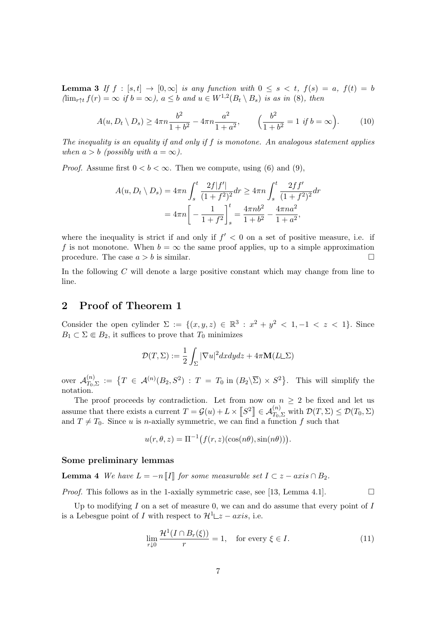**Lemma 3** If  $f : [s,t] \to [0,\infty]$  is any function with  $0 \leq s \leq t$ ,  $f(s) = a$ ,  $f(t) = b$  $(\lim_{r \uparrow t} f(r) = \infty$  if  $b = \infty$ ),  $a \leq b$  and  $u \in W^{1,2}(B_t \setminus B_s)$  is as in (8), then

$$
A(u, D_t \setminus D_s) \ge 4\pi n \frac{b^2}{1+b^2} - 4\pi n \frac{a^2}{1+a^2}, \qquad \left(\frac{b^2}{1+b^2} = 1 \text{ if } b = \infty\right). \tag{10}
$$

The inequality is an equality if and only if  $f$  is monotone. An analogous statement applies when  $a > b$  (possibly with  $a = \infty$ ).

*Proof.* Assume first  $0 < b < \infty$ . Then we compute, using (6) and (9),

$$
A(u, D_t \setminus D_s) = 4\pi n \int_s^t \frac{2f|f'|}{(1+f^2)^2} dr \ge 4\pi n \int_s^t \frac{2ff'}{(1+f^2)^2} dr
$$
  
=  $4\pi n \left[ -\frac{1}{1+f^2} \right]_s^t = \frac{4\pi n b^2}{1+b^2} - \frac{4\pi n a^2}{1+a^2},$ 

where the inequality is strict if and only if  $f' < 0$  on a set of positive measure, i.e. if f is not monotone. When  $b = \infty$  the same proof applies, up to a simple approximation procedure. The case  $a > b$  is similar.

In the following C will denote a large positive constant which may change from line to line.

# 2 Proof of Theorem 1

Consider the open cylinder  $\Sigma := \{(x, y, z) \in \mathbb{R}^3 : x^2 + y^2 < 1, -1 < z < 1\}$ . Since  $B_1 \subset \Sigma \Subset B_2$ , it suffices to prove that  $T_0$  minimizes

$$
\mathcal{D}(T,\Sigma) := \frac{1}{2} \int_{\Sigma} |\nabla u|^2 dx dy dz + 4\pi \mathbf{M}(L\mathcal{L}\Sigma)
$$

over  $\mathcal{A}_{T_0}^{(n)}$  $T_{T_0,\Sigma}^{(n)}\;:=\;\bigl\{T\;\in\;{\cal A}^{(n)}(B_2,S^2)\;:\;T\;=\;T_0\;\text{in}\;(B_2\backslash\overline\Sigma)\,\times\,S^2\bigr\}. \quad\text{This will simplify the}$ notation.

The proof proceeds by contradiction. Let from now on  $n \geq 2$  be fixed and let us assume that there exists a current  $T = \mathcal{G}(u) + L \times \llbracket S^2 \rrbracket \in \mathcal{A}_{T_0, \Sigma}^{(n)}$  with  $\mathcal{D}(T, \Sigma) \leq \mathcal{D}(T_0, \Sigma)$ and  $T \neq T_0$ . Since u is n-axially symmetric, we can find a function f such that

$$
u(r, \theta, z) = \Pi^{-1}(f(r, z)(\cos(n\theta), \sin(n\theta))).
$$

#### Some preliminary lemmas

**Lemma 4** We have  $L = -n ||I||$  for some measurable set  $I \subset z - axis \cap B_2$ .

*Proof.* This follows as in the 1-axially symmetric case, see [13, Lemma 4.1].

Up to modifying  $I$  on a set of measure 0, we can and do assume that every point of  $I$ is a Lebesgue point of I with respect to  $\mathcal{H}^1 \Box z - axis$ , i.e.

$$
\lim_{r \downarrow 0} \frac{\mathcal{H}^1(I \cap B_r(\xi))}{r} = 1, \quad \text{for every } \xi \in I.
$$
 (11)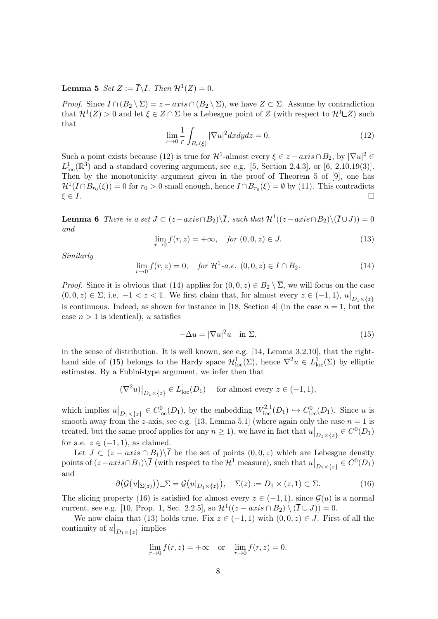# **Lemma 5** Set  $Z := \overline{I} \backslash I$ . Then  $\mathcal{H}^1(Z) = 0$ .

*Proof.* Since  $I \cap (B_2 \setminus \overline{\Sigma}) = z - axis \cap (B_2 \setminus \overline{\Sigma})$ , we have  $Z \subset \overline{\Sigma}$ . Assume by contradiction that  $\mathcal{H}^1(Z) > 0$  and let  $\xi \in Z \cap \Sigma$  be a Lebesgue point of Z (with respect to  $\mathcal{H}^1 \square Z$ ) such that

$$
\lim_{r \to 0} \frac{1}{r} \int_{B_r(\xi)} |\nabla u|^2 dx dy dz = 0.
$$
\n(12)

Such a point exists because (12) is true for  $\mathcal{H}^1$ -almost every  $\xi \in z - axis \cap B_2$ , by  $|\nabla u|^2 \in$  $L_{\text{loc}}^1(\mathbb{R}^3)$  and a standard covering argument, see e.g. [5, Section 2.4.3], or [6, 2.10.19(3)]. Then by the monotonicity argument given in the proof of Theorem 5 of [9], one has  $\mathcal{H}^1(I \cap B_{r_0}(\xi)) = 0$  for  $r_0 > 0$  small enough, hence  $I \cap B_{r_0}(\xi) = \emptyset$  by (11). This contradicts  $\xi \in \overline{I}$ .

**Lemma 6** There is a set  $J \subset (z-axis \cap B_2) \setminus \overline{I}$ , such that  $\mathcal{H}^1((z-axis \cap B_2) \setminus (\overline{I} \cup J)) = 0$ and

$$
\lim_{r \to 0} f(r, z) = +\infty, \quad \text{for } (0, 0, z) \in J. \tag{13}
$$

Similarly

$$
\lim_{r \to 0} f(r, z) = 0, \quad \text{for } \mathcal{H}^1 - a.e. \ (0, 0, z) \in I \cap B_2. \tag{14}
$$

*Proof.* Since it is obvious that (14) applies for  $(0, 0, z) \in B_2 \setminus \overline{\Sigma}$ , we will focus on the case  $(0,0,z) \in \Sigma$ , i.e.  $-1 < z < 1$ . We first claim that, for almost every  $z \in (-1,1)$ ,  $u|_{D_1 \times \{z\}}$ is continuous. Indeed, as shown for instance in [18, Section 4] (in the case  $n = 1$ , but the case  $n > 1$  is identical), u satisfies

$$
-\Delta u = |\nabla u|^2 u \quad \text{in } \Sigma,
$$
\n(15)

in the sense of distribution. It is well known, see e.g. [14, Lemma 3.2.10], that the righthand side of (15) belongs to the Hardy space  $\mathcal{H}^1_{loc}(\Sigma)$ , hence  $\nabla^2 u \in L^1_{loc}(\Sigma)$  by elliptic estimates. By a Fubini-type argument, we infer then that

$$
(\nabla^2 u)|_{D_1 \times \{z\}} \in L^1_{loc}(D_1) \quad \text{ for almost every } z \in (-1, 1),
$$

which implies  $u|_{D_1\times\{z\}}\in C^0_{loc}(D_1)$ , by the embedding  $W^{2,1}_{loc}(D_1)\hookrightarrow C^0_{loc}(D_1)$ . Since u is smooth away from the z-axis, see e.g. [13, Lemma 5.1] (where again only the case  $n = 1$  is treated, but the same proof applies for any  $n \geq 1$ , we have in fact that  $u|_{D_1 \times \{z\}} \in C^0(D_1)$ for a.e.  $z \in (-1, 1)$ , as claimed.

Let  $J \subset (z - axis \cap B_1) \setminus \overline{I}$  be the set of points  $(0, 0, z)$  which are Lebesgue density points of  $(z-axis \cap B_1) \setminus \overline{I}$  (with respect to the  $\mathcal{H}^1$  measure), such that  $u|_{D_1 \times \{z\}} \in C^0(D_1)$ and

$$
\partial \big(\mathcal{G}\big(u|_{\Sigma(z)}\big)\big) \square \Sigma = \mathcal{G}\big(u|_{D_1 \times \{z\}}\big), \quad \Sigma(z) := D_1 \times (z, 1) \subset \Sigma. \tag{16}
$$

The slicing property (16) is satisfied for almost every  $z \in (-1,1)$ , since  $\mathcal{G}(u)$  is a normal current, see e.g. [10, Prop. 1, Sec. 2.2.5], so  $\mathcal{H}^1((z-axis \cap B_2) \setminus (\overline{I} \cup J)) = 0$ .

We now claim that (13) holds true. Fix  $z \in (-1,1)$  with  $(0,0,z) \in J$ . First of all the continuity of  $u|_{D_1\times\{z\}}$  implies

$$
\lim_{r \to 0} f(r, z) = +\infty \text{ or } \lim_{r \to 0} f(r, z) = 0.
$$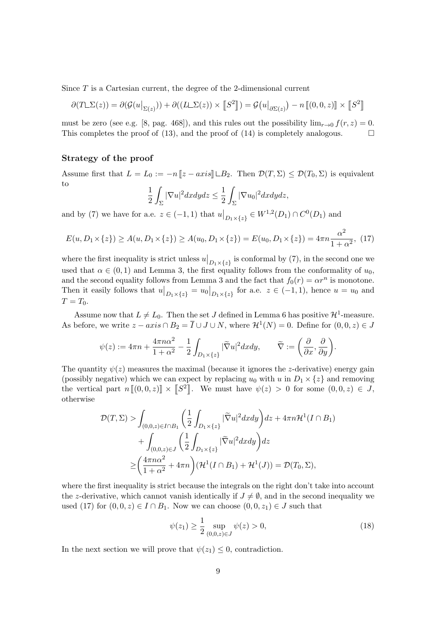Since T is a Cartesian current, the degree of the 2-dimensional current

$$
\partial(T\Box\Sigma(z)) = \partial(\mathcal{G}(u|_{\Sigma(z)})) + \partial((L\Box\Sigma(z)) \times [\![S^2]\!]) = \mathcal{G}(u|_{\partial\Sigma(z)}) - n [\![(0,0,z)]\!] \times [\![S^2]\!]
$$

must be zero (see e.g. [8, pag. 468]), and this rules out the possibility  $\lim_{x\to 0} f(r, z) = 0$ . This completes the proof of (13), and the proof of (14) is completely analogous.  $\square$ 

#### Strategy of the proof

Assume first that  $L = L_0 := -n ||z - axis|| \square B_2$ . Then  $\mathcal{D}(T, \Sigma) \leq \mathcal{D}(T_0, \Sigma)$  is equivalent to

$$
\frac{1}{2}\int_{\Sigma}|\nabla u|^2dxdydz \leq \frac{1}{2}\int_{\Sigma}|\nabla u_0|^2dxdydz,
$$

and by (7) we have for a.e.  $z \in (-1,1)$  that  $u|_{D_1 \times \{z\}} \in W^{1,2}(D_1) \cap C^0(D_1)$  and

$$
E(u, D_1 \times \{z\}) \ge A(u, D_1 \times \{z\}) \ge A(u_0, D_1 \times \{z\}) = E(u_0, D_1 \times \{z\}) = 4\pi n \frac{\alpha^2}{1 + \alpha^2},
$$
 (17)

where the first inequality is strict unless  $u|_{D_1\times\{z\}}$  is conformal by (7), in the second one we used that  $\alpha \in (0,1)$  and Lemma 3, the first equality follows from the conformality of  $u_0$ , and the second equality follows from Lemma 3 and the fact that  $f_0(r) = \alpha r^n$  is monotone. Then it easily follows that  $u|_{D_1\times\{z\}} = u_0|_{D_1\times\{z\}}$  for a.e.  $z \in (-1,1)$ , hence  $u = u_0$  and  $T = T_0$ .

Assume now that  $L \neq L_0$ . Then the set J defined in Lemma 6 has positive  $\mathcal{H}^1$ -measure. As before, we write  $z - axis \cap B_2 = \overline{I} \cup J \cup N$ , where  $\mathcal{H}^1(N) = 0$ . Define for  $(0,0,z) \in J$ 

$$
\psi(z):=4\pi n+\frac{4\pi n\alpha^2}{1+\alpha^2}-\frac{1}{2}\int_{D_1\times\{z\}}|\widetilde{\nabla} u|^2dxdy,\qquad \widetilde{\nabla}:=\bigg(\frac{\partial}{\partial x},\frac{\partial}{\partial y}\bigg).
$$

The quantity  $\psi(z)$  measures the maximal (because it ignores the *z*-derivative) energy gain (possibly negative) which we can expect by replacing  $u_0$  with u in  $D_1 \times \{z\}$  and removing the vertical part  $n[[0,0,z)] \times [S^2]$ . We must have  $\psi(z) > 0$  for some  $(0,0,z) \in J$ , otherwise

$$
\mathcal{D}(T,\Sigma) > \int_{(0,0,z)\in I\cap B_1} \left(\frac{1}{2}\int_{D_1\times\{z\}} |\widetilde{\nabla}u|^2 dxdy\right) dz + 4\pi n \mathcal{H}^1(I\cap B_1) \n+ \int_{(0,0,z)\in J} \left(\frac{1}{2}\int_{D_1\times\{z\}} |\widetilde{\nabla}u|^2 dxdy\right) dz \n\ge \left(\frac{4\pi n\alpha^2}{1+\alpha^2} + 4\pi n\right) (\mathcal{H}^1(I\cap B_1) + \mathcal{H}^1(J)) = \mathcal{D}(T_0,\Sigma),
$$

where the first inequality is strict because the integrals on the right don't take into account the z-derivative, which cannot vanish identically if  $J \neq \emptyset$ , and in the second inequality we used (17) for  $(0, 0, z) \in I \cap B_1$ . Now we can choose  $(0, 0, z_1) \in J$  such that

$$
\psi(z_1) \ge \frac{1}{2} \sup_{(0,0,z)\in J} \psi(z) > 0,
$$
\n(18)

In the next section we will prove that  $\psi(z_1) \leq 0$ , contradiction.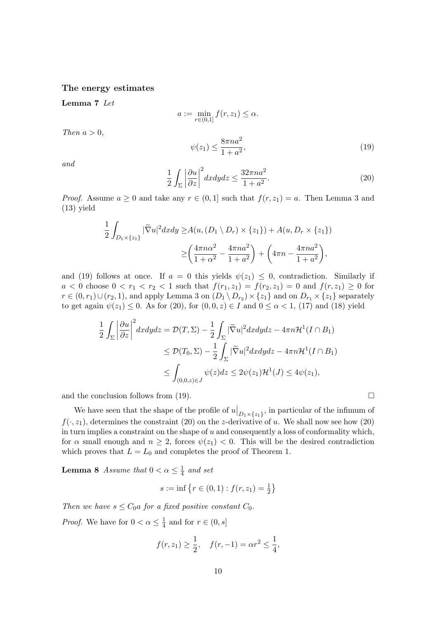### The energy estimates

Lemma 7 Let

Then  $a > 0$ ,

$$
a := \min_{r \in (0,1]} f(r, z_1) \le \alpha.
$$
  

$$
\psi(z_1) \le \frac{8\pi n a^2}{1 + a^2},
$$
 (19)

and

$$
\frac{1}{2} \int_{\Sigma} \left| \frac{\partial u}{\partial z} \right|^2 dx dy dz \le \frac{32\pi n a^2}{1 + a^2}.
$$
\n(20)

*Proof.* Assume  $a \geq 0$  and take any  $r \in (0,1]$  such that  $f(r, z_1) = a$ . Then Lemma 3 and (13) yield

$$
\frac{1}{2} \int_{D_1 \times \{z_1\}} |\widetilde{\nabla} u|^2 dx dy \ge A(u, (D_1 \setminus D_r) \times \{z_1\}) + A(u, D_r \times \{z_1\})
$$

$$
\ge \left(\frac{4\pi n\alpha^2}{1+\alpha^2} - \frac{4\pi n a^2}{1+a^2}\right) + \left(4\pi n - \frac{4\pi n a^2}{1+a^2}\right),
$$

and (19) follows at once. If  $a = 0$  this yields  $\psi(z_1) \leq 0$ , contradiction. Similarly if  $a < 0$  choose  $0 < r_1 < r_2 < 1$  such that  $f(r_1, z_1) = f(r_2, z_1) = 0$  and  $f(r, z_1) \ge 0$  for  $r \in (0, r_1) \cup (r_2, 1)$ , and apply Lemma 3 on  $(D_1 \setminus D_{r_2}) \times \{z_1\}$  and on  $D_{r_1} \times \{z_1\}$  separately to get again  $\psi(z_1) \leq 0$ . As for (20), for  $(0,0,z) \in I$  and  $0 \leq \alpha < 1$ , (17) and (18) yield

$$
\frac{1}{2} \int_{\Sigma} \left| \frac{\partial u}{\partial z} \right|^2 dx dy dz = \mathcal{D}(T, \Sigma) - \frac{1}{2} \int_{\Sigma} |\tilde{\nabla}u|^2 dx dy dz - 4\pi n \mathcal{H}^1(I \cap B_1)
$$
  
\n
$$
\leq \mathcal{D}(T_0, \Sigma) - \frac{1}{2} \int_{\Sigma} |\tilde{\nabla}u|^2 dx dy dz - 4\pi n \mathcal{H}^1(I \cap B_1)
$$
  
\n
$$
\leq \int_{(0,0,z) \in J} \psi(z) dz \leq 2\psi(z_1) \mathcal{H}^1(J) \leq 4\psi(z_1),
$$

and the conclusion follows from (19).

We have seen that the shape of the profile of  $u|_{D_1\times\{z_1\}}$ , in particular of the infimum of  $f(\cdot, z_1)$ , determines the constraint (20) on the z-derivative of u. We shall now see how (20) in turn implies a constraint on the shape of u and consequently a loss of conformality which, for  $\alpha$  small enough and  $n \geq 2$ , forces  $\psi(z_1) < 0$ . This will be the desired contradiction which proves that  $L = L_0$  and completes the proof of Theorem 1.

**Lemma 8** Assume that  $0 < \alpha \leq \frac{1}{4}$  $rac{1}{4}$  and set

$$
s := \inf \left\{ r \in (0, 1) : f(r, z_1) = \frac{1}{2} \right\}
$$

Then we have  $s \leq C_0 a$  for a fixed positive constant  $C_0$ .

*Proof.* We have for  $0 < \alpha \leq \frac{1}{4}$  $\frac{1}{4}$  and for  $r \in (0, s]$ 

$$
f(r, z_1) \ge \frac{1}{2}
$$
,  $f(r, -1) = \alpha r^2 \le \frac{1}{4}$ ,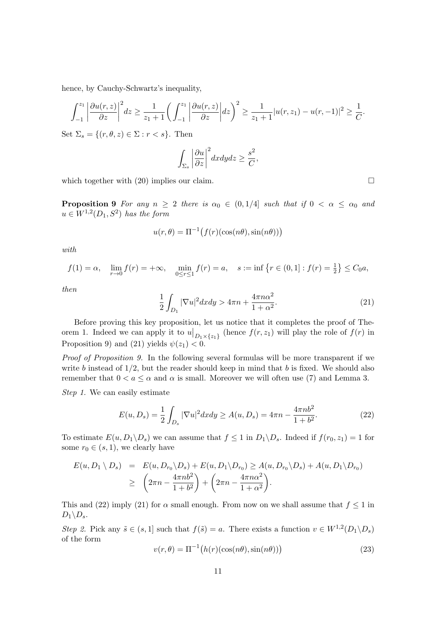hence, by Cauchy-Schwartz's inequality,

$$
\int_{-1}^{z_1} \left| \frac{\partial u(r, z)}{\partial z} \right|^2 dz \ge \frac{1}{z_1 + 1} \left( \int_{-1}^{z_1} \left| \frac{\partial u(r, z)}{\partial z} \right| dz \right)^2 \ge \frac{1}{z_1 + 1} |u(r, z_1) - u(r, -1)|^2 \ge \frac{1}{C}.
$$

Set  $\Sigma_s = \{(r, \theta, z) \in \Sigma : r < s\}.$  Then

$$
\int_{\Sigma_s} \left| \frac{\partial u}{\partial z} \right|^2 dx dy dz \ge \frac{s^2}{C},
$$

which together with  $(20)$  implies our claim.

**Proposition 9** For any  $n \geq 2$  there is  $\alpha_0 \in (0, 1/4]$  such that if  $0 < \alpha \leq \alpha_0$  and  $u \in W^{1,2}(D_1,S^2)$  has the form

$$
u(r, \theta) = \Pi^{-1}(f(r)(\cos(n\theta), \sin(n\theta)))
$$

with

$$
f(1) = \alpha
$$
,  $\lim_{r \to 0} f(r) = +\infty$ ,  $\min_{0 \le r \le 1} f(r) = a$ ,  $s := \inf \{ r \in (0, 1] : f(r) = \frac{1}{2} \} \le C_0 a$ ,

then

$$
\frac{1}{2} \int_{D_1} |\nabla u|^2 dx dy > 4\pi n + \frac{4\pi n \alpha^2}{1 + \alpha^2}.
$$
 (21)

Before proving this key proposition, let us notice that it completes the proof of Theorem 1. Indeed we can apply it to  $u|_{D_1\times \{z_1\}}$  (hence  $f(r, z_1)$  will play the role of  $f(r)$  in Proposition 9) and (21) yields  $\psi(z_1) < 0$ .

Proof of Proposition 9. In the following several formulas will be more transparent if we write b instead of  $1/2$ , but the reader should keep in mind that b is fixed. We should also remember that  $0 < a \le \alpha$  and  $\alpha$  is small. Moreover we will often use (7) and Lemma 3.

Step 1. We can easily estimate

$$
E(u, D_s) = \frac{1}{2} \int_{D_s} |\nabla u|^2 dx dy \ge A(u, D_s) = 4\pi n - \frac{4\pi n b^2}{1 + b^2}.
$$
 (22)

To estimate  $E(u, D_1 \backslash D_s)$  we can assume that  $f \leq 1$  in  $D_1 \backslash D_s$ . Indeed if  $f(r_0, z_1) = 1$  for some  $r_0 \in (s, 1)$ , we clearly have

$$
E(u, D_1 \setminus D_s) = E(u, D_{r_0} \setminus D_s) + E(u, D_1 \setminus D_{r_0}) \ge A(u, D_{r_0} \setminus D_s) + A(u, D_1 \setminus D_{r_0})
$$
  
 
$$
\ge \left(2\pi n - \frac{4\pi n b^2}{1 + b^2}\right) + \left(2\pi n - \frac{4\pi n \alpha^2}{1 + \alpha^2}\right).
$$

This and (22) imply (21) for  $\alpha$  small enough. From now on we shall assume that  $f \leq 1$  in  $D_1 \backslash D_s$ .

Step 2. Pick any  $\tilde{s} \in (s, 1]$  such that  $f(\tilde{s}) = a$ . There exists a function  $v \in W^{1,2}(D_1 \backslash D_s)$ of the form

$$
v(r,\theta) = \Pi^{-1}\big(h(r)(\cos(n\theta),\sin(n\theta))\big) \tag{23}
$$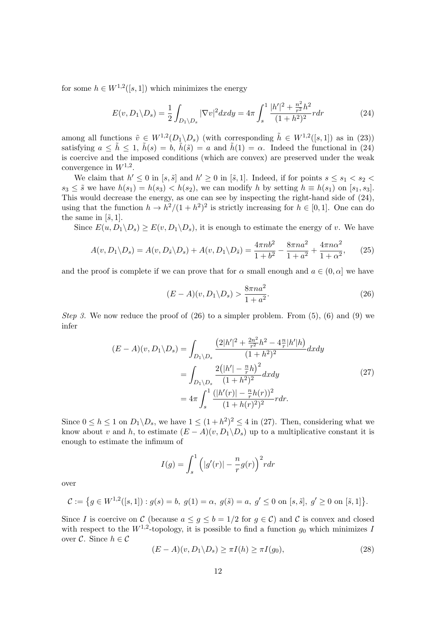for some  $h \in W^{1,2}([s,1])$  which minimizes the energy

$$
E(v, D_1 \setminus D_s) = \frac{1}{2} \int_{D_1 \setminus D_s} |\nabla v|^2 dx dy = 4\pi \int_s^1 \frac{|h'|^2 + \frac{n^2}{r^2} h^2}{(1 + h^2)^2} r dr \tag{24}
$$

among all functions  $\tilde{v} \in W^{1,2}(D_1 \backslash D_s)$  (with corresponding  $\tilde{h} \in W^{1,2}([s,1])$  as in (23)) satisfying  $a \leq \tilde{h} \leq 1$ ,  $\tilde{h}(s) = b$ ,  $\tilde{h}(\tilde{s}) = a$  and  $\tilde{h}(1) = \alpha$ . Indeed the functional in (24) is coercive and the imposed conditions (which are convex) are preserved under the weak convergence in  $W^{1,2}$ .

We claim that  $h' \leq 0$  in  $[s, \tilde{s}]$  and  $h' \geq 0$  in  $[\tilde{s}, 1]$ . Indeed, if for points  $s \leq s_1 < s_2$  $s_3 \leq \tilde{s}$  we have  $h(s_1) = h(s_3) < h(s_2)$ , we can modify h by setting  $h \equiv h(s_1)$  on  $[s_1, s_3]$ . This would decrease the energy, as one can see by inspecting the right-hand side of (24), using that the function  $h \to h^2/(1 + h^2)^2$  is strictly increasing for  $h \in [0, 1]$ . One can do the same in  $[\tilde{s}, 1]$ .

Since  $E(u, D_1 \backslash D_s) \ge E(v, D_1 \backslash D_s)$ , it is enough to estimate the energy of v. We have

$$
A(v, D_1 \setminus D_s) = A(v, D_{\tilde{s}} \setminus D_s) + A(v, D_1 \setminus D_{\tilde{s}}) = \frac{4\pi n b^2}{1 + b^2} - \frac{8\pi n a^2}{1 + a^2} + \frac{4\pi n \alpha^2}{1 + \alpha^2},
$$
(25)

and the proof is complete if we can prove that for  $\alpha$  small enough and  $a \in (0, \alpha]$  we have

$$
(E - A)(v, D_1 \backslash D_s) > \frac{8\pi n a^2}{1 + a^2}.
$$
\n(26)

Step 3. We now reduce the proof of  $(26)$  to a simpler problem. From  $(5)$ ,  $(6)$  and  $(9)$  we infer

$$
(E - A)(v, D_1 \backslash D_s) = \int_{D_1 \backslash D_s} \frac{\left(2|h'|^2 + \frac{2n^2}{r^2}h^2 - 4\frac{n}{r}|h'|h\right)}{(1 + h^2)^2} dxdy
$$
  
= 
$$
\int_{D_1 \backslash D_s} \frac{2\left(|h'| - \frac{n}{r}h\right)^2}{(1 + h^2)^2} dxdy
$$
  
= 
$$
4\pi \int_s^1 \frac{(|h'(r)| - \frac{n}{r}h(r))^2}{(1 + h(r)^2)^2} r dr.
$$
 (27)

Since  $0 \le h \le 1$  on  $D_1 \backslash D_s$ , we have  $1 \le (1 + h^2)^2 \le 4$  in (27). Then, considering what we know about v and h, to estimate  $(E - A)(v, D_1 \backslash D_s)$  up to a multiplicative constant it is enough to estimate the infimum of

$$
I(g) = \int_s^1 \left( |g'(r)| - \frac{n}{r} g(r) \right)^2 r dr
$$

over

$$
\mathcal{C} := \left\{ g \in W^{1,2}([s,1]) : g(s) = b, \ g(1) = \alpha, \ g(\tilde{s}) = a, \ g' \le 0 \text{ on } [s,\tilde{s}], \ g' \ge 0 \text{ on } [\tilde{s},1] \right\}.
$$

Since I is coercive on C (because  $a \leq g \leq b = 1/2$  for  $g \in C$ ) and C is convex and closed with respect to the  $W^{1,2}$ -topology, it is possible to find a function  $g_0$  which minimizes I over  $\mathcal{C}$ . Since  $h \in \mathcal{C}$ 

$$
(E - A)(v, D1 \backslash Ds) \ge \pi I(h) \ge \pi I(g0),
$$
\n(28)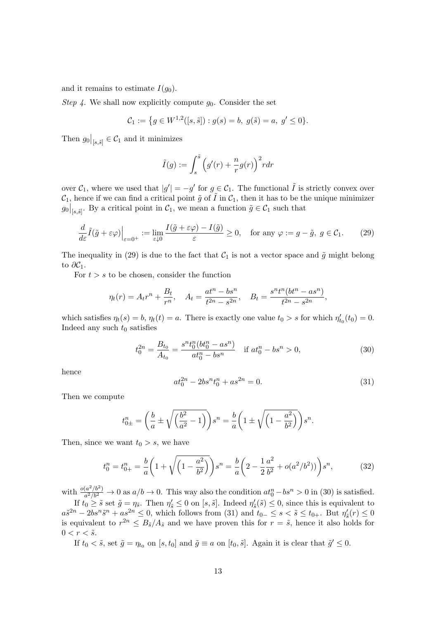and it remains to estimate  $I(g_0)$ .

Step 4. We shall now explicitly compute  $g_0$ . Consider the set

$$
\mathcal{C}_1 := \{ g \in W^{1,2}([s,\tilde{s}]): g(s) = b, \ g(\tilde{s}) = a, \ g' \le 0 \}.
$$

Then  $g_0|_{[s,\tilde{s}]} \in \mathcal{C}_1$  and it minimizes

$$
\tilde{I}(g) := \int_s^{\tilde{s}} \left( g'(r) + \frac{n}{r} g(r) \right)^2 r dr
$$

over  $\mathcal{C}_1$ , where we used that  $|g'| = -g'$  for  $g \in \mathcal{C}_1$ . The functional  $\tilde{I}$  is strictly convex over  $\mathcal{C}_1$ , hence if we can find a critical point  $\tilde{g}$  of  $\tilde{I}$  in  $\mathcal{C}_1$ , then it has to be the unique minimizer  $g_0|_{[s,\tilde{s}]}$ . By a critical point in  $\mathcal{C}_1$ , we mean a function  $\tilde{g} \in \mathcal{C}_1$  such that

$$
\frac{d}{d\varepsilon}\tilde{I}(\tilde{g}+\varepsilon\varphi)\Big|_{\varepsilon=0^+} := \lim_{\varepsilon\downarrow 0} \frac{I(\tilde{g}+\varepsilon\varphi)-I(\tilde{g})}{\varepsilon} \ge 0, \quad \text{for any } \varphi := g-\tilde{g}, \ g \in \mathcal{C}_1. \tag{29}
$$

The inequality in (29) is due to the fact that  $C_1$  is not a vector space and  $\tilde{g}$  might belong to  $\partial \mathcal{C}_1$ .

For  $t > s$  to be chosen, consider the function

$$
\eta_t(r) = A_t r^n + \frac{B_t}{r^n}, \quad A_t = \frac{at^n - bs^n}{t^{2n} - s^{2n}}, \quad B_t = \frac{s^n t^n (bt^n - as^n)}{t^{2n} - s^{2n}},
$$

which satisfies  $\eta_t(s) = b$ ,  $\eta_t(t) = a$ . There is exactly one value  $t_0 > s$  for which  $\eta'_{t_0}(t_0) = 0$ . Indeed any such  $t_0$  satisfies

$$
t_0^{2n} = \frac{B_{t_0}}{A_{t_0}} = \frac{s^n t_0^n (bt_0^n - as^n)}{at_0^n - bs^n} \quad \text{if } at_0^n - bs^n > 0,
$$
\n
$$
(30)
$$

hence

$$
at_0^{2n} - 2bs^n t_0^n + as^{2n} = 0.
$$
 (31)

Then we compute

$$
t_{0\pm}^{n} = \left(\frac{b}{a} \pm \sqrt{\left(\frac{b^{2}}{a^{2}} - 1\right)}\right)s^{n} = \frac{b}{a}\left(1 \pm \sqrt{\left(1 - \frac{a^{2}}{b^{2}}\right)}\right)s^{n}.
$$

Then, since we want  $t_0 > s$ , we have

$$
t_0^n = t_{0+}^n = \frac{b}{a} \left( 1 + \sqrt{\left( 1 - \frac{a^2}{b^2} \right)} \right) s^n = \frac{b}{a} \left( 2 - \frac{1}{2} \frac{a^2}{b^2} + o(a^2/b^2) \right) s^n, \tag{32}
$$

with  $\frac{o(a^2/b^2)}{a^2/b^2}$  $\frac{(a^2/b^2)}{a^2/b^2} \to 0$  as  $a/b \to 0$ . This way also the condition  $at_0^n - bs^n > 0$  in (30) is satisfied. If  $t_0 \geq \tilde{s}$  set  $\tilde{g} = \eta_{\tilde{s}}$ . Then  $\eta'_{\tilde{s}} \leq 0$  on  $[s, \tilde{s}]$ . Indeed  $\eta'_{\tilde{s}}(\tilde{s}) \leq 0$ , since this is equivalent to  $a\tilde{s}^{2n} - 2bs^n\tilde{s}^n + as^{2n} \leq 0$ , which follows from (31) and  $t_{0-} \leq s < \tilde{s} \leq t_{0+}$ . But  $\eta'_{\tilde{s}}(r) \leq 0$ is equivalent to  $r^{2n} \leq B_{\tilde{s}}/A_{\tilde{s}}$  and we have proven this for  $r = \tilde{s}$ , hence it also holds for

$$
0 < r < \tilde{s}.
$$

If  $t_0 < \tilde{s}$ , set  $\tilde{g} = \eta_{t_0}$  on  $[s, t_0]$  and  $\tilde{g} \equiv a$  on  $[t_0, \tilde{s}]$ . Again it is clear that  $\tilde{g}' \leq 0$ .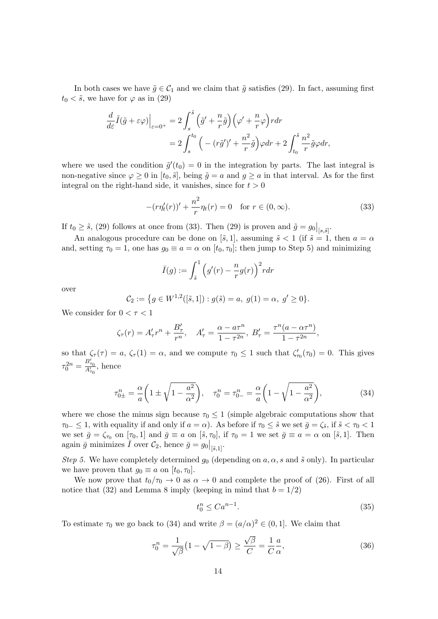In both cases we have  $\tilde{g} \in C_1$  and we claim that  $\tilde{g}$  satisfies (29). In fact, assuming first  $t_0 < \tilde{s}$ , we have for  $\varphi$  as in (29)

$$
\frac{d}{d\varepsilon}\tilde{I}(\tilde{g}+\varepsilon\varphi)\Big|_{\varepsilon=0^{+}}=2\int_{s}^{\tilde{s}}\left(\tilde{g}'+\frac{n}{r}\tilde{g}\right)\left(\varphi'+\frac{n}{r}\varphi\right)rdr
$$

$$
=2\int_{s}^{t_{0}}\left(-(r\tilde{g}')'+\frac{n^{2}}{r}\tilde{g}\right)\varphi dr+2\int_{t_{0}}^{\tilde{s}}\frac{n^{2}}{r}\tilde{g}\varphi dr,
$$

where we used the condition  $\tilde{g}'(t_0) = 0$  in the integration by parts. The last integral is non-negative since  $\varphi \geq 0$  in  $[t_0, \tilde{s}]$ , being  $\tilde{g} = a$  and  $g \geq a$  in that interval. As for the first integral on the right-hand side, it vanishes, since for  $t > 0$ 

$$
-(r\eta_t'(r))' + \frac{n^2}{r}\eta_t(r) = 0 \quad \text{for } r \in (0, \infty).
$$
 (33)

If  $t_0 \geq \tilde{s}$ , (29) follows at once from (33). Then (29) is proven and  $\tilde{g} = g_0|_{[s,\tilde{s}]}$ .

An analogous procedure can be done on [ $\tilde{s}$ , 1], assuming  $\tilde{s}$  < 1 (if  $\tilde{s} = 1$ , then  $a = \alpha$ and, setting  $\tau_0 = 1$ , one has  $g_0 \equiv a = \alpha$  on  $[t_0, \tau_0]$ ; then jump to Step 5) and minimizing

$$
\bar{I}(g) := \int_{\tilde{s}}^1 \left( g'(r) - \frac{n}{r} g(r) \right)^2 r dr
$$

over

$$
\mathcal{C}_2 := \{ g \in W^{1,2}([\tilde{s},1]) : g(\tilde{s}) = a, \ g(1) = \alpha, \ g' \ge 0 \}.
$$

We consider for  $0 < \tau < 1$ 

$$
\zeta_{\tau}(r) = A'_{\tau}r^{n} + \frac{B'_{\tau}}{r^{n}}, \quad A'_{\tau} = \frac{\alpha - a\tau^{n}}{1 - \tau^{2n}}, \ B'_{\tau} = \frac{\tau^{n}(a - \alpha\tau^{n})}{1 - \tau^{2n}},
$$

so that  $\zeta_{\tau}(\tau) = a$ ,  $\zeta_{\tau}(1) = \alpha$ , and we compute  $\tau_0 \leq 1$  such that  $\zeta'_{\tau_0}(\tau_0) = 0$ . This gives  $\tau_0^{2n} = \frac{B'_{\tau_0}}{A'_{\tau_0}}, \text{ hence}$ 

$$
\tau_{0\pm}^n = \frac{\alpha}{a} \left( 1 \pm \sqrt{1 - \frac{a^2}{\alpha^2}} \right), \quad \tau_0^n = \tau_{0-}^n = \frac{\alpha}{a} \left( 1 - \sqrt{1 - \frac{a^2}{\alpha^2}} \right),\tag{34}
$$

where we chose the minus sign because  $\tau_0 \leq 1$  (simple algebraic computations show that  $\tau_{0-} \leq 1$ , with equality if and only if  $a = \alpha$ ). As before if  $\tau_0 \leq \tilde{s}$  we set  $\bar{g} = \zeta_{\tilde{s}}$ , if  $\tilde{s} < \tau_0 < 1$ we set  $\bar{g} = \zeta_{\tau_0}$  on  $[\tau_0, 1]$  and  $\bar{g} \equiv a$  on  $[\tilde{s}, \tau_0]$ , if  $\tau_0 = 1$  we set  $\bar{g} \equiv a = \alpha$  on  $[\tilde{s}, 1]$ . Then again  $\bar{g}$  minimizes  $\bar{I}$  over  $\mathcal{C}_2$ , hence  $\bar{g} = g_0|_{\left[\bar{s},1\right]}$ .

Step 5. We have completely determined  $q_0$  (depending on a,  $\alpha$ , s and  $\tilde{s}$  only). In particular we have proven that  $g_0 \equiv a$  on  $[t_0, \tau_0]$ .

We now prove that  $t_0/\tau_0 \to 0$  as  $\alpha \to 0$  and complete the proof of (26). First of all notice that (32) and Lemma 8 imply (keeping in mind that  $b = 1/2$ )

$$
t_0^n \leq Ca^{n-1}.\tag{35}
$$

To estimate  $\tau_0$  we go back to (34) and write  $\beta = (a/\alpha)^2 \in (0,1]$ . We claim that

$$
\tau_0^n = \frac{1}{\sqrt{\beta}} \left( 1 - \sqrt{1 - \beta} \right) \ge \frac{\sqrt{\beta}}{C} = \frac{1}{C} \frac{a}{\alpha},\tag{36}
$$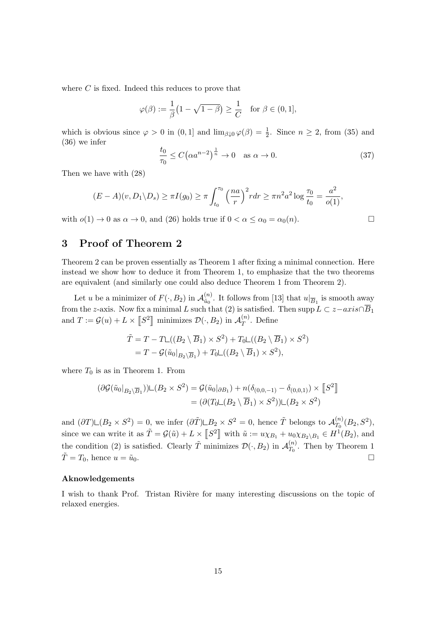where C is fixed. Indeed this reduces to prove that

$$
\varphi(\beta) := \frac{1}{\beta} \left( 1 - \sqrt{1 - \beta} \right) \ge \frac{1}{C} \quad \text{for } \beta \in (0, 1],
$$

which is obvious since  $\varphi > 0$  in  $(0, 1]$  and  $\lim_{\beta \downarrow 0} \varphi(\beta) = \frac{1}{2}$ . Since  $n \geq 2$ , from (35) and (36) we infer

$$
\frac{t_0}{\tau_0} \le C\left(\alpha a^{n-2}\right)^{\frac{1}{n}} \to 0 \quad \text{as } \alpha \to 0. \tag{37}
$$

Then we have with (28)

$$
(E-A)(v,D_1\backslash D_s) \geq \pi I(g_0) \geq \pi \int_{t_0}^{\tau_0} \left(\frac{na}{r}\right)^2 r dr \geq \pi n^2 a^2 \log \frac{\tau_0}{t_0} = \frac{a^2}{o(1)},
$$

with  $o(1) \to 0$  as  $\alpha \to 0$ , and (26) holds true if  $0 < \alpha \leq \alpha_0 = \alpha_0(n)$ .

# 3 Proof of Theorem 2

Theorem 2 can be proven essentially as Theorem 1 after fixing a minimal connection. Here instead we show how to deduce it from Theorem 1, to emphasize that the two theorems are equivalent (and similarly one could also deduce Theorem 1 from Theorem 2).

Let u be a minimizer of  $F(\cdot, B_2)$  in  $\mathcal{A}_{\tilde{u}_0}^{(n)}$  $\frac{u^{(n)}}{\tilde{u}_0}$ . It follows from [13] that  $u|_{\overline{B}_1}$  is smooth away from the z-axis. Now fix a minimal L such that (2) is satisfied. Then supp  $L \subset z-axis \cap \overline{B}_1$ and  $T := \mathcal{G}(u) + L \times \llbracket S^2 \rrbracket$  minimizes  $\mathcal{D}(\cdot, B_2)$  in  $\mathcal{A}_T^{(n)}$  $T^{(n)}$ . Define

$$
\tilde{T} = T - T\Box((B_2 \setminus \overline{B}_1) \times S^2) + T_0\Box((B_2 \setminus \overline{B}_1) \times S^2)
$$
  
= 
$$
T - \mathcal{G}(\tilde{u}_0|_{B_2 \setminus \overline{B}_1}) + T_0\Box((B_2 \setminus \overline{B}_1) \times S^2),
$$

where  $T_0$  is as in Theorem 1. From

$$
(\partial \mathcal{G}(\tilde{u}_0|_{B_2 \setminus \overline{B}_1})) \sqcup (B_2 \times S^2) = \mathcal{G}(\tilde{u}_0|_{\partial B_1}) + n(\delta_{(0,0,-1)} - \delta_{(0,0,1)}) \times [S^2]
$$
  
= 
$$
(\partial (T_0 \sqcup (B_2 \setminus \overline{B}_1) \times S^2)) \sqcup (B_2 \times S^2)
$$

and  $(\partial T)\Box(B_2\times S^2)=0$ , we infer  $(\partial \tilde{T})\Box B_2\times S^2=0$ , hence  $\tilde{T}$  belongs to  $\mathcal{A}_{T_0}^{(n)}$  $T_0^{(n)}(B_2,S^2),$ since we can write it as  $\tilde{T} = \mathcal{G}(\tilde{u}) + L \times [S^2]$  with  $\tilde{u} := u \chi_{B_1} + u_0 \chi_{B_2 \setminus B_1} \in H^1(B_2)$ , and the condition (2) is satisfied. Clearly  $\tilde{T}$  minimizes  $\mathcal{D}(\cdot, B_2)$  in  $\mathcal{A}_{T_0}^{(n)}$  $T_0^{(n)}$ . Then by Theorem 1  $\tilde{T} = T_0$ , hence  $u = \tilde{u}_0$ .

## Aknowledgements

I wish to thank Prof. Tristan Rivière for many interesting discussions on the topic of relaxed energies.

$$
\Box
$$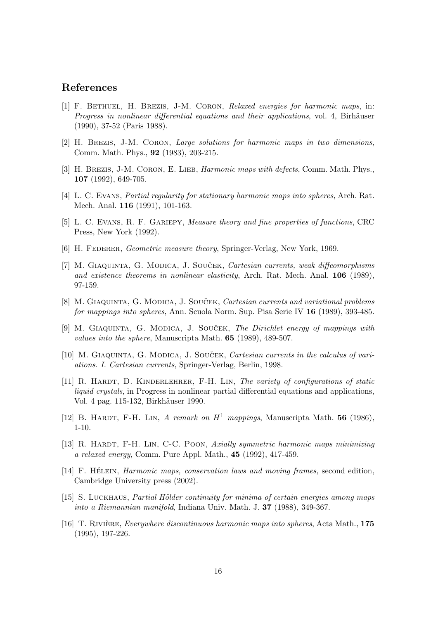# References

- [1] F. BETHUEL, H. BREZIS, J-M. CORON, Relaxed energies for harmonic maps, in: Progress in nonlinear differential equations and their applications, vol. 4, Birhäuser (1990), 37-52 (Paris 1988).
- [2] H. BREZIS, J-M. CORON, Large solutions for harmonic maps in two dimensions, Comm. Math. Phys., 92 (1983), 203-215.
- [3] H. BREZIS, J-M. CORON, E. LIEB, *Harmonic maps with defects*, Comm. Math. Phys., 107 (1992), 649-705.
- [4] L. C. Evans, Partial regularity for stationary harmonic maps into spheres, Arch. Rat. Mech. Anal. 116 (1991), 101-163.
- [5] L. C. Evans, R. F. Gariepy, Measure theory and fine properties of functions, CRC Press, New York (1992).
- [6] H. FEDERER, *Geometric measure theory*, Springer-Verlag, New York, 1969.
- [7] M. GIAQUINTA, G. MODICA, J. SOUČEK, *Cartesian currents, weak diffeomorphisms* and existence theorems in nonlinear elasticity, Arch. Rat. Mech. Anal. 106 (1989), 97-159.
- [8] M. GIAQUINTA, G. MODICA, J. SOUCEK, *Cartesian currents and variational problems* for mappings into spheres, Ann. Scuola Norm. Sup. Pisa Serie IV 16 (1989), 393-485.
- [9] M. GIAQUINTA, G. MODICA, J. SOUCEK, The Dirichlet energy of mappings with values into the sphere, Manuscripta Math. 65 (1989), 489-507.
- [10] M. GIAQUINTA, G. MODICA, J. SOUCEK, *Cartesian currents in the calculus of vari*ations. I. Cartesian currents, Springer-Verlag, Berlin, 1998.
- [11] R. HARDT, D. KINDERLEHRER, F-H. LIN, The variety of configurations of static liquid crystals, in Progress in nonlinear partial differential equations and applications, Vol. 4 pag. 115-132, Birkhäuser 1990.
- [12] B. HARDT, F-H. LIN, A remark on  $H^1$  mappings, Manuscripta Math. 56 (1986), 1-10.
- [13] R. HARDT, F-H. LIN, C-C. POON, Axially symmetric harmonic maps minimizing a relaxed energy, Comm. Pure Appl. Math., 45 (1992), 417-459.
- [14] F. HÉLEIN, *Harmonic maps, conservation laws and moving frames*, second edition, Cambridge University press (2002).
- [15] S. LUCKHAUS, Partial Hölder continuity for minima of certain energies among maps into a Riemannian manifold, Indiana Univ. Math. J. 37 (1988), 349-367.
- [16] T. RIVIÈRE, Everywhere discontinuous harmonic maps into spheres, Acta Math., 175 (1995), 197-226.